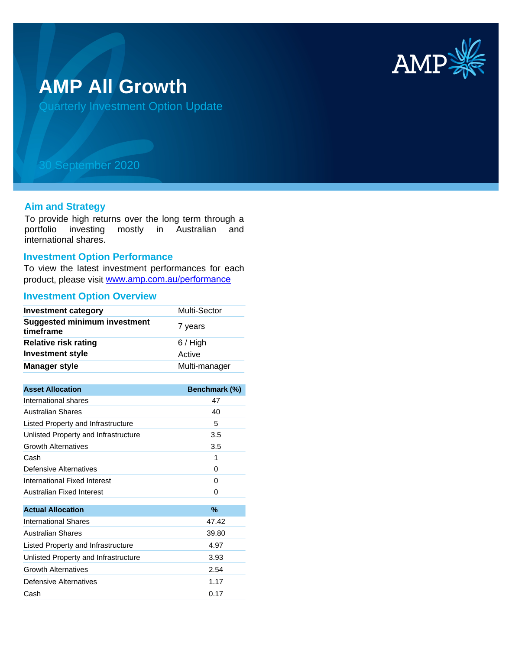

# **AMP All Growth**

Quarterly Investment Option Update

## 30 September 2020

#### **Aim and Strategy**

To provide high returns over the long term through a portfolio investing mostly in Australian and international shares.

#### **Investment Option Performance**

To view the latest investment performances for each product, please visit www.amp.com.au/performance

## **Investment Option Overview**

| <b>Investment category</b>                       | Multi-Sector  |
|--------------------------------------------------|---------------|
| <b>Suggested minimum investment</b><br>timeframe | 7 years       |
| <b>Relative risk rating</b>                      | $6/$ High     |
| <b>Investment style</b>                          | Active        |
| <b>Manager style</b>                             | Multi-manager |
|                                                  |               |
| <b>Asset Allocation</b>                          | Benchmark (%) |
| International shares                             | 47            |
| <b>Australian Shares</b>                         | 40            |
| Listed Property and Infrastructure               | 5             |
| Unlisted Property and Infrastructure             | 3.5           |
| <b>Growth Alternatives</b>                       | 3.5           |
| Cash                                             | 1             |
| Defensive Alternatives                           | 0             |
| International Fixed Interest                     | 0             |
| Australian Fixed Interest                        | 0             |
| <b>Actual Allocation</b>                         | %             |
| <b>International Shares</b>                      | 47.42         |
| <b>Australian Shares</b>                         | 39.80         |
| Listed Property and Infrastructure               | 4.97          |
| Unlisted Property and Infrastructure             | 3.93          |
| <b>Growth Alternatives</b>                       | 2.54          |
| <b>Defensive Alternatives</b>                    | 1.17          |
| Cash                                             | 0.17          |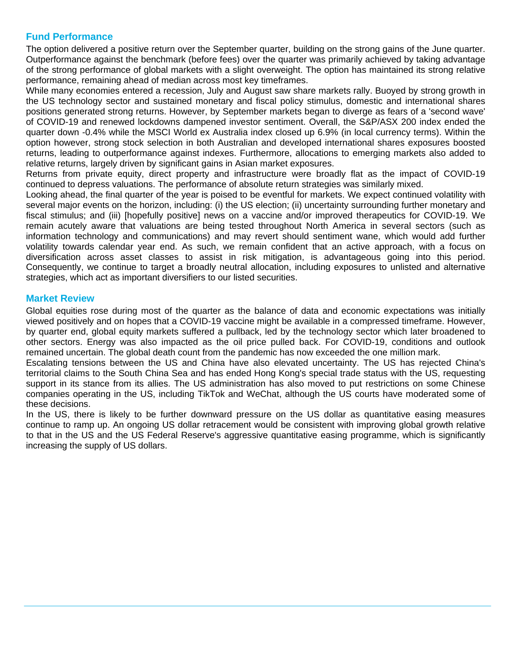## **Fund Performance**

The option delivered a positive return over the September quarter, building on the strong gains of the June quarter. Outperformance against the benchmark (before fees) over the quarter was primarily achieved by taking advantage of the strong performance of global markets with a slight overweight. The option has maintained its strong relative performance, remaining ahead of median across most key timeframes.

While many economies entered a recession, July and August saw share markets rally. Buoyed by strong growth in the US technology sector and sustained monetary and fiscal policy stimulus, domestic and international shares positions generated strong returns. However, by September markets began to diverge as fears of a 'second wave' of COVID-19 and renewed lockdowns dampened investor sentiment. Overall, the S&P/ASX 200 index ended the quarter down -0.4% while the MSCI World ex Australia index closed up 6.9% (in local currency terms). Within the option however, strong stock selection in both Australian and developed international shares exposures boosted returns, leading to outperformance against indexes. Furthermore, allocations to emerging markets also added to relative returns, largely driven by significant gains in Asian market exposures.

Returns from private equity, direct property and infrastructure were broadly flat as the impact of COVID-19 continued to depress valuations. The performance of absolute return strategies was similarly mixed.

Looking ahead, the final quarter of the year is poised to be eventful for markets. We expect continued volatility with several major events on the horizon, including: (i) the US election; (ii) uncertainty surrounding further monetary and fiscal stimulus; and (iii) [hopefully positive] news on a vaccine and/or improved therapeutics for COVID-19. We remain acutely aware that valuations are being tested throughout North America in several sectors (such as information technology and communications) and may revert should sentiment wane, which would add further volatility towards calendar year end. As such, we remain confident that an active approach, with a focus on diversification across asset classes to assist in risk mitigation, is advantageous going into this period. Consequently, we continue to target a broadly neutral allocation, including exposures to unlisted and alternative strategies, which act as important diversifiers to our listed securities.

### **Market Review**

Global equities rose during most of the quarter as the balance of data and economic expectations was initially viewed positively and on hopes that a COVID-19 vaccine might be available in a compressed timeframe. However, by quarter end, global equity markets suffered a pullback, led by the technology sector which later broadened to other sectors. Energy was also impacted as the oil price pulled back. For COVID-19, conditions and outlook remained uncertain. The global death count from the pandemic has now exceeded the one million mark.

Escalating tensions between the US and China have also elevated uncertainty. The US has rejected China's territorial claims to the South China Sea and has ended Hong Kong's special trade status with the US, requesting support in its stance from its allies. The US administration has also moved to put restrictions on some Chinese companies operating in the US, including TikTok and WeChat, although the US courts have moderated some of these decisions.

In the US, there is likely to be further downward pressure on the US dollar as quantitative easing measures continue to ramp up. An ongoing US dollar retracement would be consistent with improving global growth relative to that in the US and the US Federal Reserve's aggressive quantitative easing programme, which is significantly increasing the supply of US dollars.